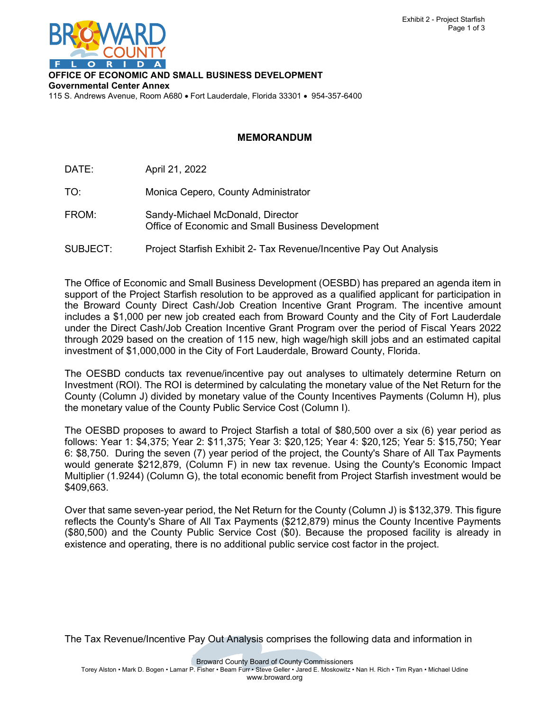

**OFFICE OF ECONOMIC AND SMALL BUSINESS DEVELOPMENT Governmental Center Annex**

115 S. Andrews Avenue, Room A680 • Fort Lauderdale, Florida 33301 • 954-357-6400

## **MEMORANDUM**

DATE: April 21, 2022

TO: Monica Cepero, County Administrator

- FROM: Sandy-Michael McDonald, Director Office of Economic and Small Business Development
- SUBJECT: Project Starfish Exhibit 2- Tax Revenue/Incentive Pay Out Analysis

The Office of Economic and Small Business Development (OESBD) has prepared an agenda item in support of the Project Starfish resolution to be approved as a qualified applicant for participation in the Broward County Direct Cash/Job Creation Incentive Grant Program. The incentive amount includes a \$1,000 per new job created each from Broward County and the City of Fort Lauderdale under the Direct Cash/Job Creation Incentive Grant Program over the period of Fiscal Years 2022 through 2029 based on the creation of 115 new, high wage/high skill jobs and an estimated capital investment of \$1,000,000 in the City of Fort Lauderdale, Broward County, Florida.

The OESBD conducts tax revenue/incentive pay out analyses to ultimately determine Return on Investment (ROl). The ROI is determined by calculating the monetary value of the Net Return for the County (Column J) divided by monetary value of the County Incentives Payments (Column H), plus the monetary value of the County Public Service Cost (Column I).

The OESBD proposes to award to Project Starfish a total of \$80,500 over a six (6) year period as follows: Year 1: \$4,375; Year 2: \$11,375; Year 3: \$20,125; Year 4: \$20,125; Year 5: \$15,750; Year 6: \$8,750. During the seven (7) year period of the project, the County's Share of All Tax Payments would generate \$212,879, (Column F) in new tax revenue. Using the County's Economic Impact Multiplier (1.9244) (Column G), the total economic benefit from Project Starfish investment would be \$409,663.

Over that same seven-year period, the Net Return for the County (Column J) is \$132,379. This figure reflects the County's Share of All Tax Payments (\$212,879) minus the County Incentive Payments (\$80,500) and the County Public Service Cost (\$0). Because the proposed facility is already in existence and operating, there is no additional public service cost factor in the project.

The Tax Revenue/Incentive Pay Out Analysis comprises the following data and information in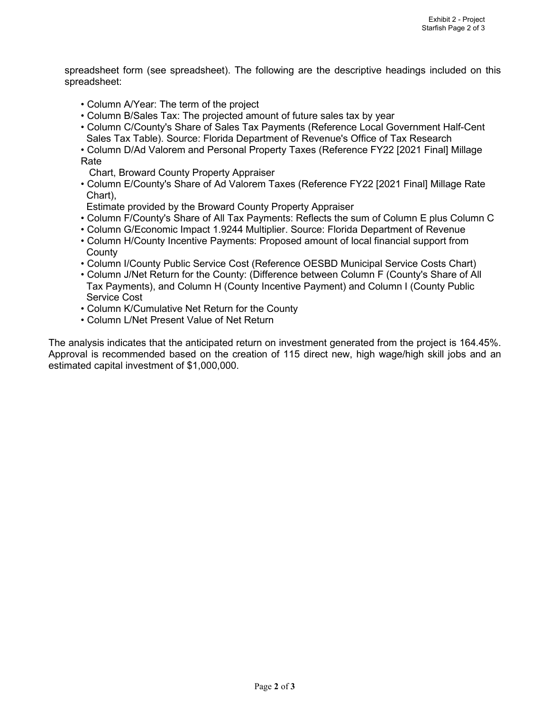spreadsheet form (see spreadsheet). The following are the descriptive headings included on this spreadsheet:

- Column A/Year: The term of the project
- Column B/Sales Tax: The projected amount of future sales tax by year
- Column C/County's Share of Sales Tax Payments (Reference Local Government Half-Cent Sales Tax Table). Source: Florida Department of Revenue's Office of Tax Research
- Column D/Ad Valorem and Personal Property Taxes (Reference FY22 [2021 Final] Millage Rate
- Chart, Broward County Property Appraiser
- Column E/County's Share of Ad Valorem Taxes (Reference FY22 [2021 Final] Millage Rate Chart),
- Estimate provided by the Broward County Property Appraiser
- Column F/County's Share of All Tax Payments: Reflects the sum of Column E plus Column C
- Column G/Economic Impact 1.9244 Multiplier. Source: Florida Department of Revenue
- Column H/County Incentive Payments: Proposed amount of local financial support from **County**
- Column I/County Public Service Cost (Reference OESBD Municipal Service Costs Chart)
- Column J/Net Return for the County: (Difference between Column F (County's Share of All Tax Payments), and Column H (County Incentive Payment) and Column I (County Public Service Cost
- Column K/Cumulative Net Return for the County
- Column L/Net Present Value of Net Return

The analysis indicates that the anticipated return on investment generated from the project is 164.45%. Approval is recommended based on the creation of 115 direct new, high wage/high skill jobs and an estimated capital investment of \$1,000,000.